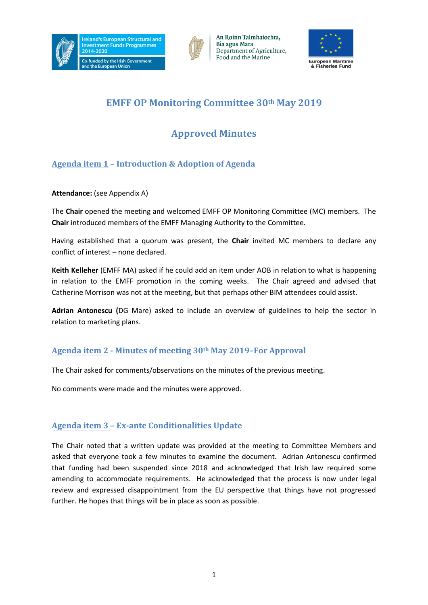





# **EMFF OP Monitoring Committee 30th May 2019**

# **Approved Minutes**

## **Agenda item 1 – Introduction & Adoption of Agenda**

## **Attendance:** (see Appendix A)

The **Chair** opened the meeting and welcomed EMFF OP Monitoring Committee (MC) members. The **Chair** introduced members of the EMFF Managing Authority to the Committee.

Having established that a quorum was present, the **Chair** invited MC members to declare any conflict of interest – none declared.

**Keith Kelleher** (EMFF MA) asked if he could add an item under AOB in relation to what is happening in relation to the EMFF promotion in the coming weeks. The Chair agreed and advised that Catherine Morrison was not at the meeting, but that perhaps other BIM attendees could assist.

**Adrian Antonescu (**DG Mare) asked to include an overview of guidelines to help the sector in relation to marketing plans.

## **Agenda item 2 - Minutes of meeting 30th May 2019–For Approval**

The Chair asked for comments/observations on the minutes of the previous meeting.

No comments were made and the minutes were approved.

## **Agenda item 3 – Ex-ante Conditionalities Update**

The Chair noted that a written update was provided at the meeting to Committee Members and asked that everyone took a few minutes to examine the document. Adrian Antonescu confirmed that funding had been suspended since 2018 and acknowledged that Irish law required some amending to accommodate requirements. He acknowledged that the process is now under legal review and expressed disappointment from the EU perspective that things have not progressed further. He hopes that things will be in place as soon as possible.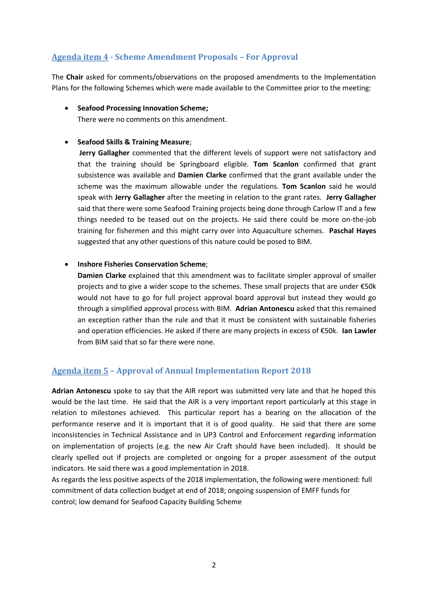## **Agenda item 4 - Scheme Amendment Proposals – For Approval**

The **Chair** asked for comments/observations on the proposed amendments to the Implementation Plans for the following Schemes which were made available to the Committee prior to the meeting:

### • **Seafood Processing Innovation Scheme;**

There were no comments on this amendment.

### • **Seafood Skills & Training Measure**;

**Jerry Gallagher** commented that the different levels of support were not satisfactory and that the training should be Springboard eligible. **Tom Scanlon** confirmed that grant subsistence was available and **Damien Clarke** confirmed that the grant available under the scheme was the maximum allowable under the regulations. **Tom Scanlon** said he would speak with **Jerry Gallagher** after the meeting in relation to the grant rates. **Jerry Gallagher** said that there were some Seafood Training projects being done through Carlow IT and a few things needed to be teased out on the projects. He said there could be more on-the-job training for fishermen and this might carry over into Aquaculture schemes. **Paschal Hayes** suggested that any other questions of this nature could be posed to BIM.

### • **Inshore Fisheries Conservation Scheme**;

**Damien Clarke** explained that this amendment was to facilitate simpler approval of smaller projects and to give a wider scope to the schemes. These small projects that are under €50k would not have to go for full project approval board approval but instead they would go through a simplified approval process with BIM. **Adrian Antonescu** asked that this remained an exception rather than the rule and that it must be consistent with sustainable fisheries and operation efficiencies. He asked if there are many projects in excess of €50k. **Ian Lawler** from BIM said that so far there were none.

## **Agenda item 5 – Approval of Annual Implementation Report 2018**

**Adrian Antonescu** spoke to say that the AIR report was submitted very late and that he hoped this would be the last time. He said that the AIR is a very important report particularly at this stage in relation to milestones achieved. This particular report has a bearing on the allocation of the performance reserve and it is important that it is of good quality. He said that there are some inconsistencies in Technical Assistance and in UP3 Control and Enforcement regarding information on implementation of projects (e.g. the new Air Craft should have been included). It should be clearly spelled out if projects are completed or ongoing for a proper assessment of the output indicators. He said there was a good implementation in 2018.

As regards the less positive aspects of the 2018 implementation, the following were mentioned: full commitment of data collection budget at end of 2018; ongoing suspension of EMFF funds for control; low demand for Seafood Capacity Building Scheme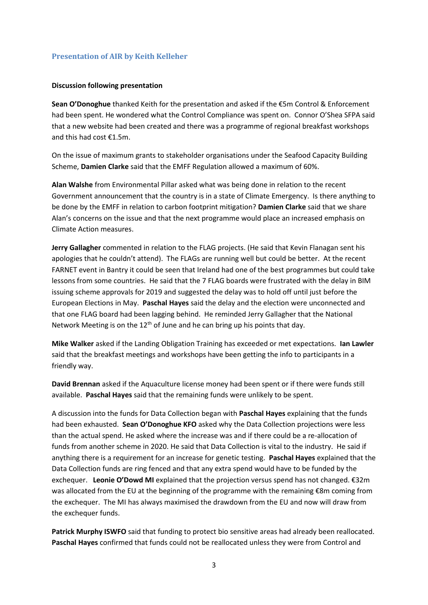### **Presentation of AIR by Keith Kelleher**

### **Discussion following presentation**

**Sean O'Donoghue** thanked Keith for the presentation and asked if the €5m Control & Enforcement had been spent. He wondered what the Control Compliance was spent on. Connor O'Shea SFPA said that a new website had been created and there was a programme of regional breakfast workshops and this had cost €1.5m.

On the issue of maximum grants to stakeholder organisations under the Seafood Capacity Building Scheme, **Damien Clarke** said that the EMFF Regulation allowed a maximum of 60%.

**Alan Walshe** from Environmental Pillar asked what was being done in relation to the recent Government announcement that the country is in a state of Climate Emergency. Is there anything to be done by the EMFF in relation to carbon footprint mitigation? **Damien Clarke** said that we share Alan's concerns on the issue and that the next programme would place an increased emphasis on Climate Action measures.

**Jerry Gallagher** commented in relation to the FLAG projects. (He said that Kevin Flanagan sent his apologies that he couldn't attend). The FLAGs are running well but could be better. At the recent FARNET event in Bantry it could be seen that Ireland had one of the best programmes but could take lessons from some countries. He said that the 7 FLAG boards were frustrated with the delay in BIM issuing scheme approvals for 2019 and suggested the delay was to hold off until just before the European Elections in May. **Paschal Hayes** said the delay and the election were unconnected and that one FLAG board had been lagging behind. He reminded Jerry Gallagher that the National Network Meeting is on the  $12<sup>th</sup>$  of June and he can bring up his points that day.

**Mike Walker** asked if the Landing Obligation Training has exceeded or met expectations. **Ian Lawler** said that the breakfast meetings and workshops have been getting the info to participants in a friendly way.

**David Brennan** asked if the Aquaculture license money had been spent or if there were funds still available. **Paschal Hayes** said that the remaining funds were unlikely to be spent.

A discussion into the funds for Data Collection began with **Paschal Hayes** explaining that the funds had been exhausted. **Sean O'Donoghue KFO** asked why the Data Collection projections were less than the actual spend. He asked where the increase was and if there could be a re-allocation of funds from another scheme in 2020. He said that Data Collection is vital to the industry. He said if anything there is a requirement for an increase for genetic testing. **Paschal Hayes** explained that the Data Collection funds are ring fenced and that any extra spend would have to be funded by the exchequer. **Leonie O'Dowd MI** explained that the projection versus spend has not changed. €32m was allocated from the EU at the beginning of the programme with the remaining €8m coming from the exchequer. The MI has always maximised the drawdown from the EU and now will draw from the exchequer funds.

**Patrick Murphy ISWFO** said that funding to protect bio sensitive areas had already been reallocated. **Paschal Hayes** confirmed that funds could not be reallocated unless they were from Control and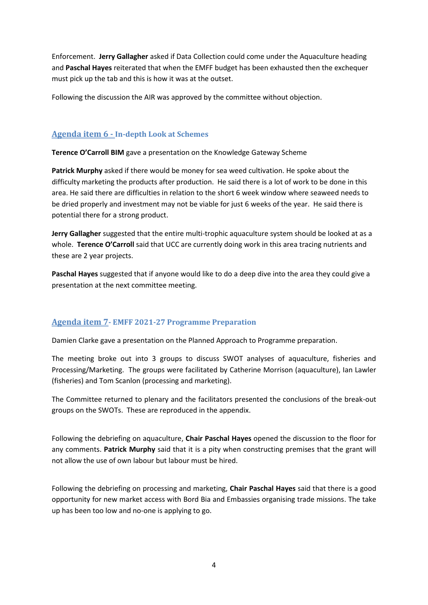Enforcement. **Jerry Gallagher** asked if Data Collection could come under the Aquaculture heading and **Paschal Hayes** reiterated that when the EMFF budget has been exhausted then the exchequer must pick up the tab and this is how it was at the outset.

Following the discussion the AIR was approved by the committee without objection.

## **Agenda item 6 - In-depth Look at Schemes**

**Terence O'Carroll BIM** gave a presentation on the Knowledge Gateway Scheme

**Patrick Murphy** asked if there would be money for sea weed cultivation. He spoke about the difficulty marketing the products after production. He said there is a lot of work to be done in this area. He said there are difficulties in relation to the short 6 week window where seaweed needs to be dried properly and investment may not be viable for just 6 weeks of the year. He said there is potential there for a strong product.

**Jerry Gallagher** suggested that the entire multi-trophic aquaculture system should be looked at as a whole. **Terence O'Carroll** said that UCC are currently doing work in this area tracing nutrients and these are 2 year projects.

**Paschal Hayes** suggested that if anyone would like to do a deep dive into the area they could give a presentation at the next committee meeting.

## **Agenda item 7- EMFF 2021-27 Programme Preparation**

Damien Clarke gave a presentation on the Planned Approach to Programme preparation.

The meeting broke out into 3 groups to discuss SWOT analyses of aquaculture, fisheries and Processing/Marketing. The groups were facilitated by Catherine Morrison (aquaculture), Ian Lawler (fisheries) and Tom Scanlon (processing and marketing).

The Committee returned to plenary and the facilitators presented the conclusions of the break-out groups on the SWOTs. These are reproduced in the appendix.

Following the debriefing on aquaculture, **Chair Paschal Hayes** opened the discussion to the floor for any comments. **Patrick Murphy** said that it is a pity when constructing premises that the grant will not allow the use of own labour but labour must be hired.

Following the debriefing on processing and marketing, **Chair Paschal Hayes** said that there is a good opportunity for new market access with Bord Bia and Embassies organising trade missions. The take up has been too low and no-one is applying to go.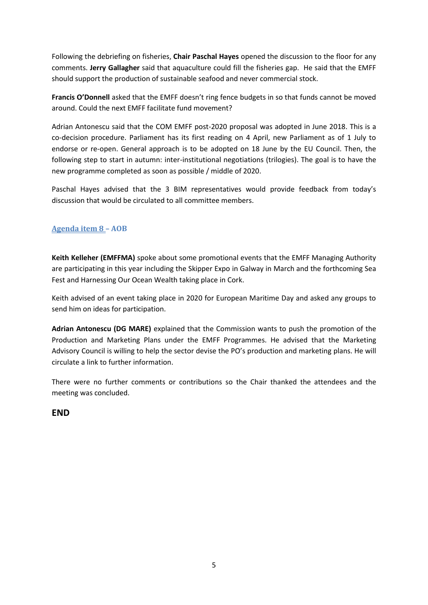Following the debriefing on fisheries, **Chair Paschal Hayes** opened the discussion to the floor for any comments. **Jerry Gallagher** said that aquaculture could fill the fisheries gap. He said that the EMFF should support the production of sustainable seafood and never commercial stock.

**Francis O'Donnell** asked that the EMFF doesn't ring fence budgets in so that funds cannot be moved around. Could the next EMFF facilitate fund movement?

Adrian Antonescu said that the COM EMFF post-2020 proposal was adopted in June 2018. This is a co-decision procedure. Parliament has its first reading on 4 April, new Parliament as of 1 July to endorse or re-open. General approach is to be adopted on 18 June by the EU Council. Then, the following step to start in autumn: inter-institutional negotiations (trilogies). The goal is to have the new programme completed as soon as possible / middle of 2020.

Paschal Hayes advised that the 3 BIM representatives would provide feedback from today's discussion that would be circulated to all committee members.

## **Agenda item 8 – AOB**

**Keith Kelleher (EMFFMA)** spoke about some promotional events that the EMFF Managing Authority are participating in this year including the Skipper Expo in Galway in March and the forthcoming Sea Fest and Harnessing Our Ocean Wealth taking place in Cork.

Keith advised of an event taking place in 2020 for European Maritime Day and asked any groups to send him on ideas for participation.

**Adrian Antonescu (DG MARE)** explained that the Commission wants to push the promotion of the Production and Marketing Plans under the EMFF Programmes. He advised that the Marketing Advisory Council is willing to help the sector devise the PO's production and marketing plans. He will circulate a link to further information.

There were no further comments or contributions so the Chair thanked the attendees and the meeting was concluded.

## **END**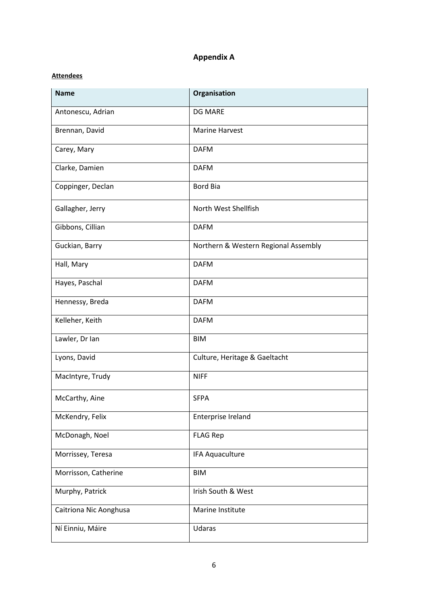## **Appendix A**

### **Attendees**

| <b>Name</b>            | Organisation                         |
|------------------------|--------------------------------------|
| Antonescu, Adrian      | <b>DG MARE</b>                       |
| Brennan, David         | <b>Marine Harvest</b>                |
| Carey, Mary            | <b>DAFM</b>                          |
| Clarke, Damien         | <b>DAFM</b>                          |
| Coppinger, Declan      | <b>Bord Bia</b>                      |
| Gallagher, Jerry       | North West Shellfish                 |
| Gibbons, Cillian       | <b>DAFM</b>                          |
| Guckian, Barry         | Northern & Western Regional Assembly |
| Hall, Mary             | <b>DAFM</b>                          |
| Hayes, Paschal         | <b>DAFM</b>                          |
| Hennessy, Breda        | <b>DAFM</b>                          |
| Kelleher, Keith        | <b>DAFM</b>                          |
| Lawler, Dr Ian         | <b>BIM</b>                           |
| Lyons, David           | Culture, Heritage & Gaeltacht        |
| MacIntyre, Trudy       | <b>NIFF</b>                          |
| McCarthy, Aine         | <b>SFPA</b>                          |
| McKendry, Felix        | Enterprise Ireland                   |
| McDonagh, Noel         | <b>FLAG Rep</b>                      |
| Morrissey, Teresa      | IFA Aquaculture                      |
| Morrisson, Catherine   | <b>BIM</b>                           |
| Murphy, Patrick        | Irish South & West                   |
| Caitriona Nic Aonghusa | Marine Institute                     |
| Ní Einniu, Máire       | Udaras                               |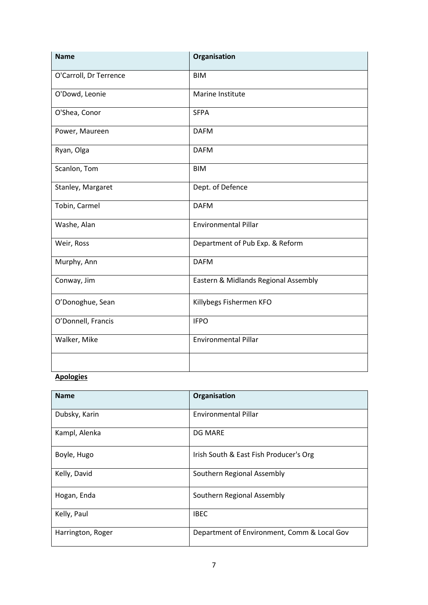| <b>Name</b>            | Organisation                         |
|------------------------|--------------------------------------|
| O'Carroll, Dr Terrence | <b>BIM</b>                           |
| O'Dowd, Leonie         | Marine Institute                     |
| O'Shea, Conor          | <b>SFPA</b>                          |
| Power, Maureen         | <b>DAFM</b>                          |
| Ryan, Olga             | <b>DAFM</b>                          |
| Scanlon, Tom           | <b>BIM</b>                           |
| Stanley, Margaret      | Dept. of Defence                     |
| Tobin, Carmel          | <b>DAFM</b>                          |
| Washe, Alan            | <b>Environmental Pillar</b>          |
| Weir, Ross             | Department of Pub Exp. & Reform      |
| Murphy, Ann            | <b>DAFM</b>                          |
| Conway, Jim            | Eastern & Midlands Regional Assembly |
| O'Donoghue, Sean       | Killybegs Fishermen KFO              |
| O'Donnell, Francis     | <b>IFPO</b>                          |
| Walker, Mike           | <b>Environmental Pillar</b>          |
|                        |                                      |

## **Apologies**

| <b>Name</b>       | Organisation                                |
|-------------------|---------------------------------------------|
| Dubsky, Karin     | Environmental Pillar                        |
| Kampl, Alenka     | <b>DG MARE</b>                              |
| Boyle, Hugo       | Irish South & East Fish Producer's Org      |
| Kelly, David      | Southern Regional Assembly                  |
| Hogan, Enda       | Southern Regional Assembly                  |
| Kelly, Paul       | <b>IBEC</b>                                 |
| Harrington, Roger | Department of Environment, Comm & Local Gov |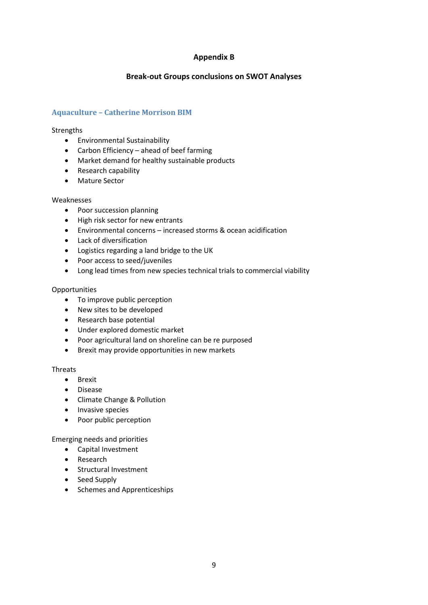### **Appendix B**

### **Break-out Groups conclusions on SWOT Analyses**

### **Aquaculture – Catherine Morrison BIM**

### **Strengths**

- Environmental Sustainability
- Carbon Efficiency ahead of beef farming
- Market demand for healthy sustainable products
- Research capability
- Mature Sector

### Weaknesses

- Poor succession planning
- High risk sector for new entrants
- Environmental concerns increased storms & ocean acidification
- Lack of diversification
- Logistics regarding a land bridge to the UK
- Poor access to seed/juveniles
- Long lead times from new species technical trials to commercial viability

### **Opportunities**

- To improve public perception
- New sites to be developed
- Research base potential
- Under explored domestic market
- Poor agricultural land on shoreline can be re purposed
- Brexit may provide opportunities in new markets

### **Threats**

- Brexit
- Disease
- Climate Change & Pollution
- Invasive species
- Poor public perception

Emerging needs and priorities

- Capital Investment
- Research
- Structural Investment
- Seed Supply
- Schemes and Apprenticeships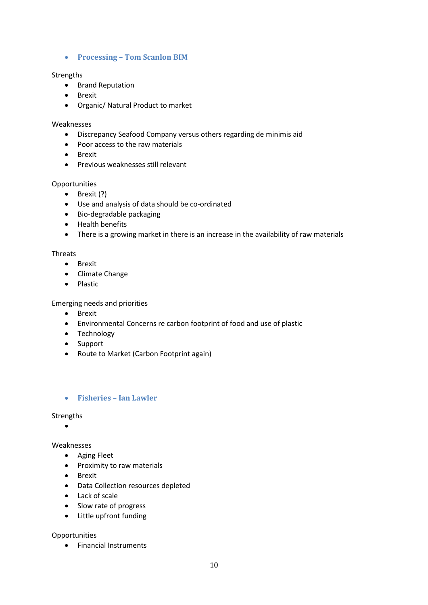### • **Processing – Tom Scanlon BIM**

### **Strengths**

- Brand Reputation
- Brexit
- Organic/ Natural Product to market

### Weaknesses

- Discrepancy Seafood Company versus others regarding de minimis aid
- Poor access to the raw materials
- Brexit
- Previous weaknesses still relevant

### **Opportunities**

- Brexit (?)
- Use and analysis of data should be co-ordinated
- Bio-degradable packaging
- Health benefits
- There is a growing market in there is an increase in the availability of raw materials

### Threats

- Brexit
- Climate Change
- Plastic

Emerging needs and priorities

- Brexit
- Environmental Concerns re carbon footprint of food and use of plastic
- Technology
- Support
- Route to Market (Carbon Footprint again)

### • **Fisheries – Ian Lawler**

#### Strengths

•

### Weaknesses

- Aging Fleet
- Proximity to raw materials
- Brexit
- Data Collection resources depleted
- Lack of scale
- Slow rate of progress
- Little upfront funding

### **Opportunities**

• Financial Instruments